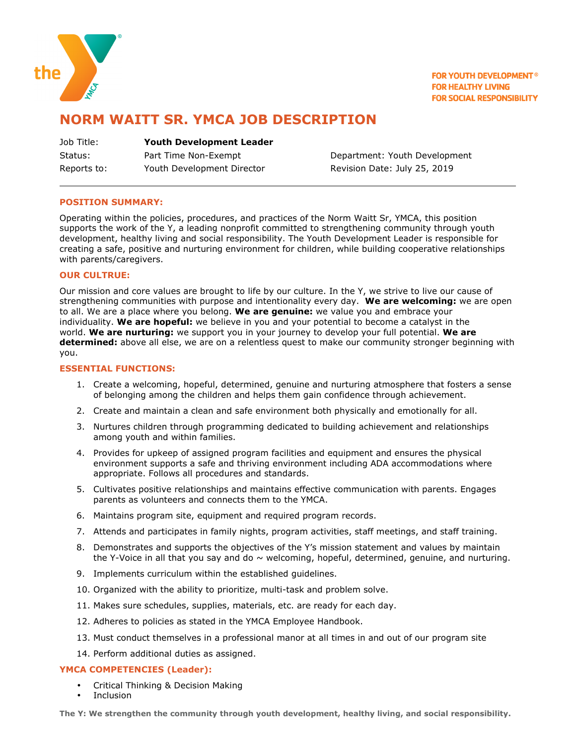

**FOR YOUTH DEVELOPMENT<sup>®</sup> FOR HEALTHY LIVING FOR SOCIAL RESPONSIBILITY** 

# **NORM WAITT SR. YMCA JOB DESCRIPTION**

| Job Title:  | <b>Youth Development Leader</b> |
|-------------|---------------------------------|
| Status:     | Part Time Non-Exempt            |
| Reports to: | Youth Development Director      |

Department: Youth Development Revision Date: July 25, 2019

# **POSITION SUMMARY:**

Operating within the policies, procedures, and practices of the Norm Waitt Sr, YMCA, this position supports the work of the Y, a leading nonprofit committed to strengthening community through youth development, healthy living and social responsibility. The Youth Development Leader is responsible for creating a safe, positive and nurturing environment for children, while building cooperative relationships with parents/caregivers.

# **OUR CULTRUE:**

Our mission and core values are brought to life by our culture. In the Y, we strive to live our cause of strengthening communities with purpose and intentionality every day. **We are welcoming:** we are open to all. We are a place where you belong. **We are genuine:** we value you and embrace your individuality. **We are hopeful:** we believe in you and your potential to become a catalyst in the world. **We are nurturing:** we support you in your journey to develop your full potential. **We are determined:** above all else, we are on a relentless quest to make our community stronger beginning with you.

# **ESSENTIAL FUNCTIONS:**

- 1. Create a welcoming, hopeful, determined, genuine and nurturing atmosphere that fosters a sense of belonging among the children and helps them gain confidence through achievement.
- 2. Create and maintain a clean and safe environment both physically and emotionally for all.
- 3. Nurtures children through programming dedicated to building achievement and relationships among youth and within families.
- 4. Provides for upkeep of assigned program facilities and equipment and ensures the physical environment supports a safe and thriving environment including ADA accommodations where appropriate. Follows all procedures and standards.
- 5. Cultivates positive relationships and maintains effective communication with parents. Engages parents as volunteers and connects them to the YMCA.
- 6. Maintains program site, equipment and required program records.
- 7. Attends and participates in family nights, program activities, staff meetings, and staff training.
- 8. Demonstrates and supports the objectives of the Y's mission statement and values by maintain the Y-Voice in all that you say and do  $\sim$  welcoming, hopeful, determined, genuine, and nurturing.
- 9. Implements curriculum within the established guidelines.
- 10. Organized with the ability to prioritize, multi-task and problem solve.
- 11. Makes sure schedules, supplies, materials, etc. are ready for each day.
- 12. Adheres to policies as stated in the YMCA Employee Handbook.
- 13. Must conduct themselves in a professional manor at all times in and out of our program site
- 14. Perform additional duties as assigned.

#### **YMCA COMPETENCIES (Leader):**

- Critical Thinking & Decision Making
- **Inclusion**

**The Y: We strengthen the community through youth development, healthy living, and social responsibility.**